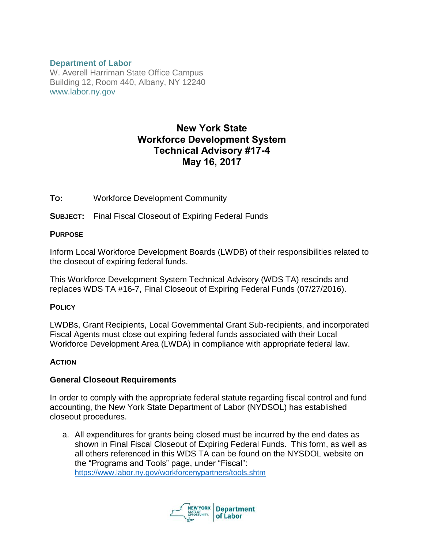### **Department of Labor**

W. Averell Harriman State Office Campus Building 12, Room 440, Albany, NY 12240 www.labor.ny.gov

# New York State Workforce Development System Technical Advisory #17-4 May 16, 2017

**TO:** Workforce Development Community

**SUBJECT:** Final Fiscal Closeout of Expiring Federal Funds

### **PURPOSE**

Inform Local Workforce Development Boards (LWDB) of their responsibilities related to the closeout of expiring federal funds.

This Workforce Development System Technical Advisory (WDS TA) rescinds and replaces WDS TA #16-7, Final Closeout of Expiring Federal Funds (07/27/2016).

### **POLICY**

LWDBs, Grant Recipients, Local Governmental Grant Sub-recipients, and incorporated Fiscal Agents must close out expiring federal funds associated with their Local Workforce Development Area (LWDA) in compliance with appropriate federal law.

# **ACTION**

# **General Closeout Requirements**

In order to comply with the appropriate federal statute regarding fiscal control and fund accounting, the New York State Department of Labor (NYDSOL) has established closeout procedures.

a. All expenditures for grants being closed must be incurred by the end dates as shown in Final Fiscal Closeout of Expiring Federal Funds. This form, as well as all others referenced in this WDS TA can be found on the NYSDOL website on the "Programs and Tools" page, under "Fiscal": <https://www.labor.ny.gov/workforcenypartners/tools.shtm>

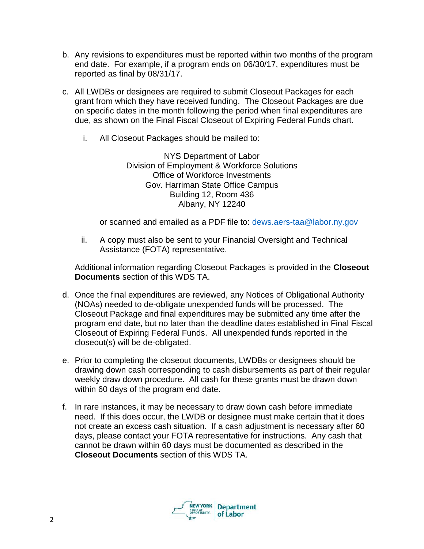- b. Any revisions to expenditures must be reported within two months of the program end date. For example, if a program ends on 06/30/17, expenditures must be reported as final by 08/31/17.
- c. All LWDBs or designees are required to submit Closeout Packages for each grant from which they have received funding. The Closeout Packages are due on specific dates in the month following the period when final expenditures are due, as shown on the Final Fiscal Closeout of Expiring Federal Funds chart.
	- i. All Closeout Packages should be mailed to:

NYS Department of Labor Division of Employment & Workforce Solutions Office of Workforce Investments Gov. Harriman State Office Campus Building 12, Room 436 Albany, NY 12240

or scanned and emailed as a PDF file to: [dews.aers-taa@labor.ny.gov](mailto:dews.aers-taa@labor.ny.gov)

ii. A copy must also be sent to your Financial Oversight and Technical Assistance (FOTA) representative.

Additional information regarding Closeout Packages is provided in the **Closeout Documents** section of this WDS TA.

- d. Once the final expenditures are reviewed, any Notices of Obligational Authority (NOAs) needed to de-obligate unexpended funds will be processed. The Closeout Package and final expenditures may be submitted any time after the program end date, but no later than the deadline dates established in Final Fiscal Closeout of Expiring Federal Funds. All unexpended funds reported in the closeout(s) will be de-obligated.
- e. Prior to completing the closeout documents, LWDBs or designees should be drawing down cash corresponding to cash disbursements as part of their regular weekly draw down procedure. All cash for these grants must be drawn down within 60 days of the program end date.
- f. In rare instances, it may be necessary to draw down cash before immediate need. If this does occur, the LWDB or designee must make certain that it does not create an excess cash situation. If a cash adjustment is necessary after 60 days, please contact your FOTA representative for instructions. Any cash that cannot be drawn within 60 days must be documented as described in the **Closeout Documents** section of this WDS TA.